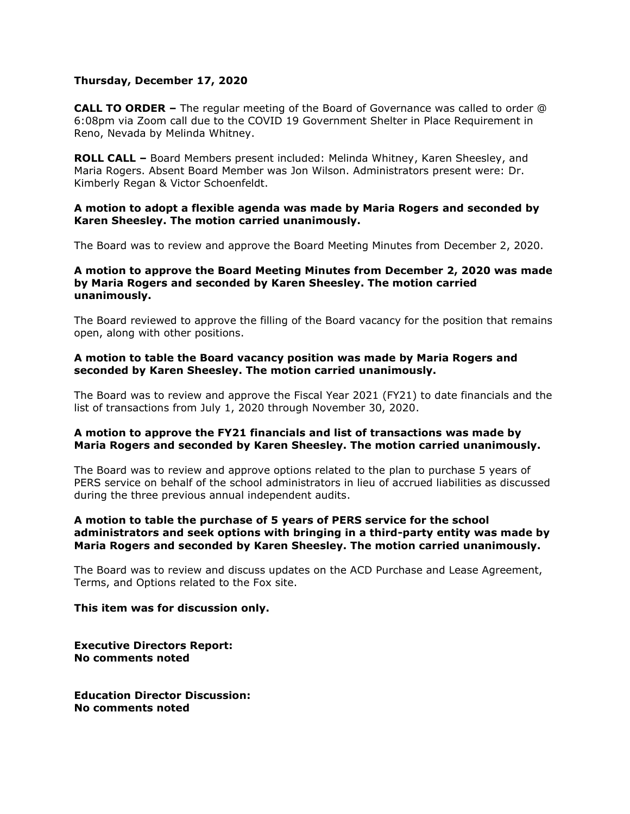## **Thursday, December 17, 2020**

**CALL TO ORDER –** The regular meeting of the Board of Governance was called to order @ 6:08pm via Zoom call due to the COVID 19 Government Shelter in Place Requirement in Reno, Nevada by Melinda Whitney.

**ROLL CALL –** Board Members present included: Melinda Whitney, Karen Sheesley, and Maria Rogers. Absent Board Member was Jon Wilson. Administrators present were: Dr. Kimberly Regan & Victor Schoenfeldt.

### **A motion to adopt a flexible agenda was made by Maria Rogers and seconded by Karen Sheesley. The motion carried unanimously.**

The Board was to review and approve the Board Meeting Minutes from December 2, 2020.

## **A motion to approve the Board Meeting Minutes from December 2, 2020 was made by Maria Rogers and seconded by Karen Sheesley. The motion carried unanimously.**

The Board reviewed to approve the filling of the Board vacancy for the position that remains open, along with other positions.

## **A motion to table the Board vacancy position was made by Maria Rogers and seconded by Karen Sheesley. The motion carried unanimously.**

The Board was to review and approve the Fiscal Year 2021 (FY21) to date financials and the list of transactions from July 1, 2020 through November 30, 2020.

## **A motion to approve the FY21 financials and list of transactions was made by Maria Rogers and seconded by Karen Sheesley. The motion carried unanimously.**

The Board was to review and approve options related to the plan to purchase 5 years of PERS service on behalf of the school administrators in lieu of accrued liabilities as discussed during the three previous annual independent audits.

## **A motion to table the purchase of 5 years of PERS service for the school administrators and seek options with bringing in a third-party entity was made by Maria Rogers and seconded by Karen Sheesley. The motion carried unanimously.**

The Board was to review and discuss updates on the ACD Purchase and Lease Agreement, Terms, and Options related to the Fox site.

#### **This item was for discussion only.**

**Executive Directors Report: No comments noted**

**Education Director Discussion: No comments noted**